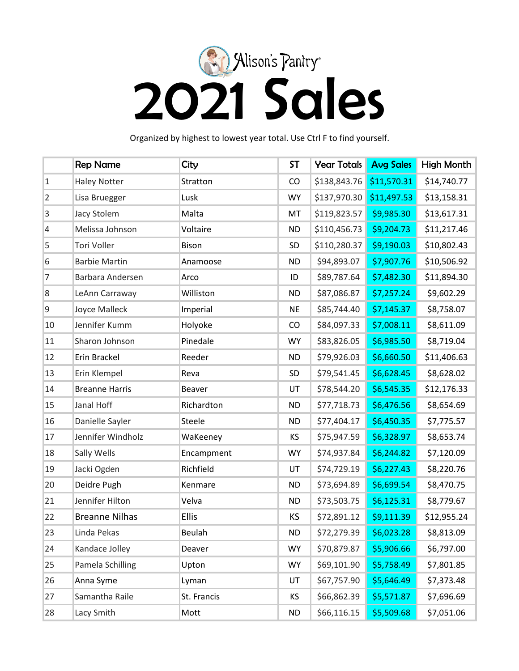

Organized by highest to lowest year total. Use Ctrl F to find yourself.

|                | <b>Rep Name</b>       | City          | <b>ST</b> | <b>Year Totals</b>       | <b>Avg Sales</b> | High Month  |
|----------------|-----------------------|---------------|-----------|--------------------------|------------------|-------------|
| $\mathbf{1}$   | <b>Haley Notter</b>   | Stratton      | CO        | \$138,843.76 \$11,570.31 |                  | \$14,740.77 |
| $\overline{2}$ | Lisa Bruegger         | Lusk          | <b>WY</b> | \$137,970.30             | \$11,497.53      | \$13,158.31 |
| 3              | Jacy Stolem           | Malta         | MT        | \$119,823.57             | \$9,985.30       | \$13,617.31 |
| 4              | Melissa Johnson       | Voltaire      | <b>ND</b> | \$110,456.73             | \$9,204.73       | \$11,217.46 |
| 5              | Tori Voller           | Bison         | SD        | \$110,280.37             | \$9,190.03       | \$10,802.43 |
| 6              | <b>Barbie Martin</b>  | Anamoose      | <b>ND</b> | \$94,893.07              | \$7,907.76       | \$10,506.92 |
| $\overline{7}$ | Barbara Andersen      | Arco          | ID        | \$89,787.64              | \$7,482.30       | \$11,894.30 |
| 8              | LeAnn Carraway        | Williston     | <b>ND</b> | \$87,086.87              | \$7,257.24       | \$9,602.29  |
| 9              | Joyce Malleck         | Imperial      | <b>NE</b> | \$85,744.40              | \$7,145.37       | \$8,758.07  |
| 10             | Jennifer Kumm         | Holyoke       | CO        | \$84,097.33              | \$7,008.11       | \$8,611.09  |
| 11             | Sharon Johnson        | Pinedale      | <b>WY</b> | \$83,826.05              | \$6,985.50       | \$8,719.04  |
| 12             | Erin Brackel          | Reeder        | <b>ND</b> | \$79,926.03              | \$6,660.50       | \$11,406.63 |
| 13             | Erin Klempel          | Reva          | SD        | \$79,541.45              | \$6,628.45       | \$8,628.02  |
| 14             | <b>Breanne Harris</b> | Beaver        | UT        | \$78,544.20              | \$6,545.35       | \$12,176.33 |
| 15             | Janal Hoff            | Richardton    | <b>ND</b> | \$77,718.73              | \$6,476.56       | \$8,654.69  |
| 16             | Danielle Sayler       | Steele        | <b>ND</b> | \$77,404.17              | \$6,450.35       | \$7,775.57  |
| 17             | Jennifer Windholz     | WaKeeney      | KS        | \$75,947.59              | \$6,328.97       | \$8,653.74  |
| 18             | Sally Wells           | Encampment    | <b>WY</b> | \$74,937.84              | \$6,244.82       | \$7,120.09  |
| 19             | Jacki Ogden           | Richfield     | UT        | \$74,729.19              | \$6,227.43       | \$8,220.76  |
| 20             | Deidre Pugh           | Kenmare       | <b>ND</b> | \$73,694.89              | \$6,699.54       | \$8,470.75  |
| 21             | Jennifer Hilton       | Velva         | <b>ND</b> | \$73,503.75              | \$6,125.31       | \$8,779.67  |
| 22             | <b>Breanne Nilhas</b> | <b>Ellis</b>  | <b>KS</b> | \$72,891.12              | \$9,111.39       | \$12,955.24 |
| 23             | Linda Pekas           | <b>Beulah</b> | <b>ND</b> | \$72,279.39              | \$6,023.28       | \$8,813.09  |
| 24             | Kandace Jolley        | Deaver        | <b>WY</b> | \$70,879.87              | \$5,906.66       | \$6,797.00  |
| 25             | Pamela Schilling      | Upton         | <b>WY</b> | \$69,101.90              | \$5,758.49       | \$7,801.85  |
| 26             | Anna Syme             | Lyman         | UT        | \$67,757.90              | \$5,646.49       | \$7,373.48  |
| 27             | Samantha Raile        | St. Francis   | KS        | \$66,862.39              | \$5,571.87       | \$7,696.69  |
| 28             | Lacy Smith            | Mott          | ND        | \$66,116.15              | \$5,509.68       | \$7,051.06  |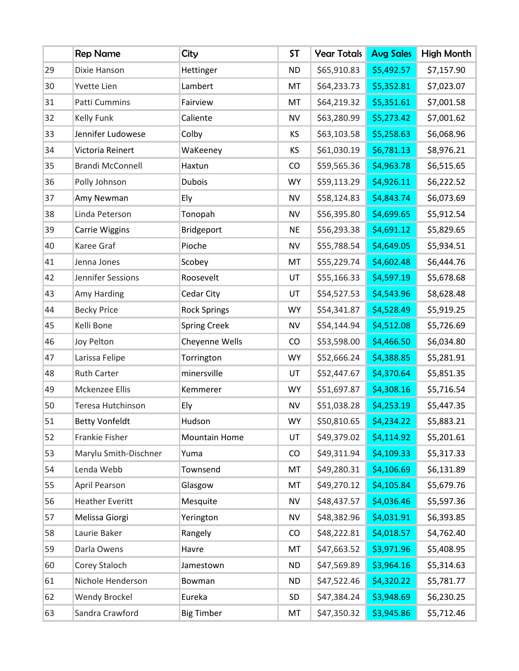|    | <b>Rep Name</b>         | City                | <b>ST</b> | <b>Year Totals</b> | <b>Avg Sales</b> | High Month |
|----|-------------------------|---------------------|-----------|--------------------|------------------|------------|
| 29 | Dixie Hanson            | Hettinger           | <b>ND</b> | \$65,910.83        | \$5,492.57       | \$7,157.90 |
| 30 | <b>Yvette Lien</b>      | Lambert             | MT        | \$64,233.73        | \$5,352.81       | \$7,023.07 |
| 31 | Patti Cummins           | Fairview            | MT        | \$64,219.32        | \$5,351.61       | \$7,001.58 |
| 32 | Kelly Funk              | Caliente            | <b>NV</b> | \$63,280.99        | \$5,273.42       | \$7,001.62 |
| 33 | Jennifer Ludowese       | Colby               | ΚS        | \$63,103.58        | \$5,258.63       | \$6,068.96 |
| 34 | Victoria Reinert        | WaKeeney            | KS        | \$61,030.19        | \$6,781.13       | \$8,976.21 |
| 35 | <b>Brandi McConnell</b> | Haxtun              | CO        | \$59,565.36        | \$4,963.78       | \$6,515.65 |
| 36 | Polly Johnson           | <b>Dubois</b>       | <b>WY</b> | \$59,113.29        | \$4,926.11       | \$6,222.52 |
| 37 | Amy Newman              | Ely                 | <b>NV</b> | \$58,124.83        | \$4,843.74       | \$6,073.69 |
| 38 | Linda Peterson          | Tonopah             | NV        | \$56,395.80        | \$4,699.65       | \$5,912.54 |
| 39 | Carrie Wiggins          | Bridgeport          | <b>NE</b> | \$56,293.38        | \$4,691.12       | \$5,829.65 |
| 40 | Karee Graf              | Pioche              | <b>NV</b> | \$55,788.54        | \$4,649.05       | \$5,934.51 |
| 41 | Jenna Jones             | Scobey              | MT        | \$55,229.74        | \$4,602.48       | \$6,444.76 |
| 42 | Jennifer Sessions       | Roosevelt           | UT        | \$55,166.33        | \$4,597.19       | \$5,678.68 |
| 43 | Amy Harding             | Cedar City          | UT        | \$54,527.53        | \$4,543.96       | \$8,628.48 |
| 44 | <b>Becky Price</b>      | <b>Rock Springs</b> | <b>WY</b> | \$54,341.87        | \$4,528.49       | \$5,919.25 |
| 45 | Kelli Bone              | <b>Spring Creek</b> | NV        | \$54,144.94        | \$4,512.08       | \$5,726.69 |
| 46 | Joy Pelton              | Cheyenne Wells      | CO        | \$53,598.00        | \$4,466.50       | \$6,034.80 |
| 47 | Larissa Felipe          | Torrington          | <b>WY</b> | \$52,666.24        | \$4,388.85       | \$5,281.91 |
| 48 | <b>Ruth Carter</b>      | minersville         | UT        | \$52,447.67        | \$4,370.64       | \$5,851.35 |
| 49 | Mckenzee Ellis          | Kemmerer            | <b>WY</b> | \$51,697.87        | \$4,308.16       | \$5,716.54 |
| 50 | Teresa Hutchinson       | Ely                 | <b>NV</b> | \$51,038.28        | \$4,253.19       | \$5,447.35 |
| 51 | <b>Betty Vonfeldt</b>   | Hudson              | <b>WY</b> | \$50,810.65        | \$4,234.22       | \$5,883.21 |
| 52 | Frankie Fisher          | Mountain Home       | UT        | \$49,379.02        | \$4,114.92       | \$5,201.61 |
| 53 | Marylu Smith-Dischner   | Yuma                | CO        | \$49,311.94        | \$4,109.33       | \$5,317.33 |
| 54 | Lenda Webb              | Townsend            | MT        | \$49,280.31        | \$4,106.69       | \$6,131.89 |
| 55 | April Pearson           | Glasgow             | MT        | \$49,270.12        | \$4,105.84       | \$5,679.76 |
| 56 | <b>Heather Everitt</b>  | Mesquite            | <b>NV</b> | \$48,437.57        | \$4,036.46       | \$5,597.36 |
| 57 | Melissa Giorgi          | Yerington           | <b>NV</b> | \$48,382.96        | \$4,031.91       | \$6,393.85 |
| 58 | Laurie Baker            | Rangely             | CO        | \$48,222.81        | \$4,018.57       | \$4,762.40 |
| 59 | Darla Owens             | Havre               | MT        | \$47,663.52        | \$3,971.96       | \$5,408.95 |
| 60 | Corey Staloch           | Jamestown           | <b>ND</b> | \$47,569.89        | \$3,964.16       | \$5,314.63 |
| 61 | Nichole Henderson       | Bowman              | <b>ND</b> | \$47,522.46        | \$4,320.22       | \$5,781.77 |
| 62 | <b>Wendy Brockel</b>    | Eureka              | SD        | \$47,384.24        | \$3,948.69       | \$6,230.25 |
| 63 | Sandra Crawford         | <b>Big Timber</b>   | MT        | \$47,350.32        | \$3,945.86       | \$5,712.46 |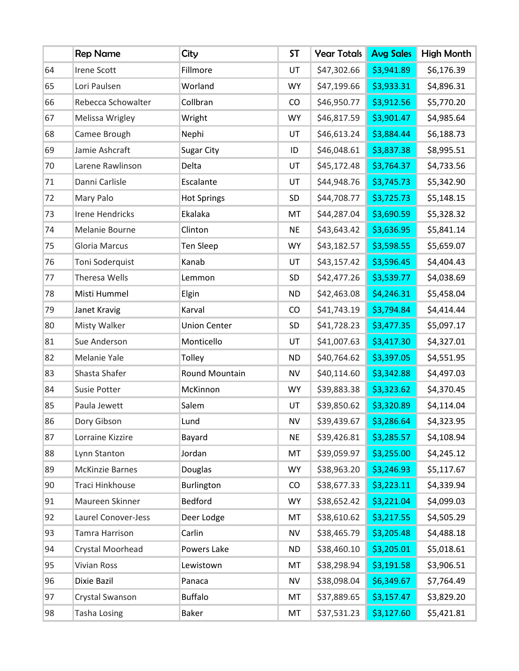|    | <b>Rep Name</b>        | City                | <b>ST</b> | <b>Year Totals</b> | <b>Avg Sales</b> | High Month |
|----|------------------------|---------------------|-----------|--------------------|------------------|------------|
| 64 | <b>Irene Scott</b>     | Fillmore            | UT        | \$47,302.66        | \$3,941.89       | \$6,176.39 |
| 65 | Lori Paulsen           | Worland             | <b>WY</b> | \$47,199.66        | \$3,933.31       | \$4,896.31 |
| 66 | Rebecca Schowalter     | Collbran            | CO        | \$46,950.77        | \$3,912.56       | \$5,770.20 |
| 67 | Melissa Wrigley        | Wright              | <b>WY</b> | \$46,817.59        | \$3,901.47       | \$4,985.64 |
| 68 | Camee Brough           | Nephi               | UT        | \$46,613.24        | \$3,884.44       | \$6,188.73 |
| 69 | Jamie Ashcraft         | Sugar City          | ID        | \$46,048.61        | \$3,837.38       | \$8,995.51 |
| 70 | Larene Rawlinson       | Delta               | UT        | \$45,172.48        | \$3,764.37       | \$4,733.56 |
| 71 | Danni Carlisle         | Escalante           | UT        | \$44,948.76        | \$3,745.73       | \$5,342.90 |
| 72 | Mary Palo              | <b>Hot Springs</b>  | SD        | \$44,708.77        | \$3,725.73       | \$5,148.15 |
| 73 | <b>Irene Hendricks</b> | Ekalaka             | MT        | \$44,287.04        | \$3,690.59       | \$5,328.32 |
| 74 | Melanie Bourne         | Clinton             | <b>NE</b> | \$43,643.42        | \$3,636.95       | \$5,841.14 |
| 75 | <b>Gloria Marcus</b>   | Ten Sleep           | <b>WY</b> | \$43,182.57        | \$3,598.55       | \$5,659.07 |
| 76 | Toni Soderquist        | Kanab               | UT        | \$43,157.42        | \$3,596.45       | \$4,404.43 |
| 77 | Theresa Wells          | Lemmon              | SD        | \$42,477.26        | \$3,539.77       | \$4,038.69 |
| 78 | Misti Hummel           | Elgin               | <b>ND</b> | \$42,463.08        | \$4,246.31       | \$5,458.04 |
| 79 | Janet Kravig           | Karval              | CO        | \$41,743.19        | \$3,794.84       | \$4,414.44 |
| 80 | Misty Walker           | <b>Union Center</b> | SD        | \$41,728.23        | \$3,477.35       | \$5,097.17 |
| 81 | Sue Anderson           | Monticello          | UT        | \$41,007.63        | \$3,417.30       | \$4,327.01 |
| 82 | Melanie Yale           | Tolley              | <b>ND</b> | \$40,764.62        | \$3,397.05       | \$4,551.95 |
| 83 | Shasta Shafer          | Round Mountain      | NV        | \$40,114.60        | \$3,342.88       | \$4,497.03 |
| 84 | Susie Potter           | McKinnon            | <b>WY</b> | \$39,883.38        | \$3,323.62       | \$4,370.45 |
| 85 | Paula Jewett           | Salem               | UT        | \$39,850.62        | \$3,320.89       | \$4,114.04 |
| 86 | Dory Gibson            | Lund                | NV        | \$39,439.67        | \$3,286.64       | \$4,323.95 |
| 87 | Lorraine Kizzire       | Bayard              | <b>NE</b> | \$39,426.81        | \$3,285.57       | \$4,108.94 |
| 88 | Lynn Stanton           | Jordan              | MT        | \$39,059.97        | \$3,255.00       | \$4,245.12 |
| 89 | <b>McKinzie Barnes</b> | Douglas             | <b>WY</b> | \$38,963.20        | \$3,246.93       | \$5,117.67 |
| 90 | Traci Hinkhouse        | Burlington          | CO        | \$38,677.33        | \$3,223.11       | \$4,339.94 |
| 91 | Maureen Skinner        | Bedford             | <b>WY</b> | \$38,652.42        | \$3,221.04       | \$4,099.03 |
| 92 | Laurel Conover-Jess    | Deer Lodge          | MT        | \$38,610.62        | \$3,217.55       | \$4,505.29 |
| 93 | Tamra Harrison         | Carlin              | NV        | \$38,465.79        | \$3,205.48       | \$4,488.18 |
| 94 | Crystal Moorhead       | Powers Lake         | <b>ND</b> | \$38,460.10        | \$3,205.01       | \$5,018.61 |
| 95 | <b>Vivian Ross</b>     | Lewistown           | MT        | \$38,298.94        | \$3,191.58       | \$3,906.51 |
| 96 | Dixie Bazil            | Panaca              | <b>NV</b> | \$38,098.04        | \$6,349.67       | \$7,764.49 |
| 97 | Crystal Swanson        | <b>Buffalo</b>      | MT        | \$37,889.65        | \$3,157.47       | \$3,829.20 |
| 98 | <b>Tasha Losing</b>    | <b>Baker</b>        | MT        | \$37,531.23        | \$3,127.60       | \$5,421.81 |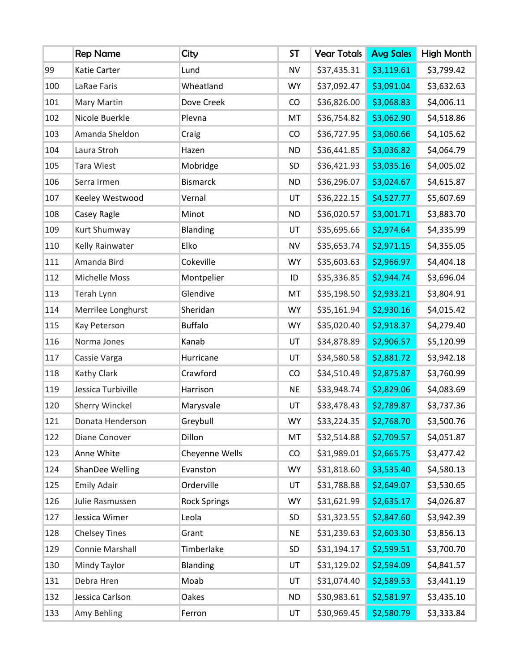|     | <b>Rep Name</b>       | City                | <b>ST</b> | <b>Year Totals</b> | <b>Avg Sales</b> | High Month |
|-----|-----------------------|---------------------|-----------|--------------------|------------------|------------|
| 99  | Katie Carter          | Lund                | <b>NV</b> | \$37,435.31        | \$3,119.61       | \$3,799.42 |
| 100 | LaRae Faris           | Wheatland           | <b>WY</b> | \$37,092.47        | \$3,091.04       | \$3,632.63 |
| 101 | Mary Martin           | Dove Creek          | CO        | \$36,826.00        | \$3,068.83       | \$4,006.11 |
| 102 | Nicole Buerkle        | Plevna              | MT        | \$36,754.82        | \$3,062.90       | \$4,518.86 |
| 103 | Amanda Sheldon        | Craig               | CO        | \$36,727.95        | \$3,060.66       | \$4,105.62 |
| 104 | Laura Stroh           | Hazen               | <b>ND</b> | \$36,441.85        | \$3,036.82       | \$4,064.79 |
| 105 | <b>Tara Wiest</b>     | Mobridge            | SD        | \$36,421.93        | \$3,035.16       | \$4,005.02 |
| 106 | Serra Irmen           | <b>Bismarck</b>     | <b>ND</b> | \$36,296.07        | \$3,024.67       | \$4,615.87 |
| 107 | Keeley Westwood       | Vernal              | UT        | \$36,222.15        | \$4,527.77       | \$5,607.69 |
| 108 | Casey Ragle           | Minot               | <b>ND</b> | \$36,020.57        | \$3,001.71       | \$3,883.70 |
| 109 | Kurt Shumway          | <b>Blanding</b>     | UT        | \$35,695.66        | \$2,974.64       | \$4,335.99 |
| 110 | Kelly Rainwater       | Elko                | <b>NV</b> | \$35,653.74        | \$2,971.15       | \$4,355.05 |
| 111 | Amanda Bird           | Cokeville           | <b>WY</b> | \$35,603.63        | \$2,966.97       | \$4,404.18 |
| 112 | Michelle Moss         | Montpelier          | ID        | \$35,336.85        | \$2,944.74       | \$3,696.04 |
| 113 | Terah Lynn            | Glendive            | MT        | \$35,198.50        | \$2,933.21       | \$3,804.91 |
| 114 | Merrilee Longhurst    | Sheridan            | <b>WY</b> | \$35,161.94        | \$2,930.16       | \$4,015.42 |
| 115 | Kay Peterson          | <b>Buffalo</b>      | <b>WY</b> | \$35,020.40        | \$2,918.37       | \$4,279.40 |
| 116 | Norma Jones           | Kanab               | UT        | \$34,878.89        | \$2,906.57       | \$5,120.99 |
| 117 | Cassie Varga          | Hurricane           | UT        | \$34,580.58        | \$2,881.72       | \$3,942.18 |
| 118 | Kathy Clark           | Crawford            | CO        | \$34,510.49        | \$2,875.87       | \$3,760.99 |
| 119 | Jessica Turbiville    | Harrison            | <b>NE</b> | \$33,948.74        | \$2,829.06       | \$4,083.69 |
| 120 | <b>Sherry Winckel</b> | Marysvale           | UT        | \$33,478.43        | \$2,789.87       | \$3,737.36 |
| 121 | Donata Henderson      | Greybull            | WY        | \$33,224.35        | \$2,768.70       | \$3,500.76 |
| 122 | Diane Conover         | Dillon              | MT        | \$32,514.88        | \$2,709.57       | \$4,051.87 |
| 123 | Anne White            | Cheyenne Wells      | CO        | \$31,989.01        | \$2,665.75       | \$3,477.42 |
| 124 | ShanDee Welling       | Evanston            | <b>WY</b> | \$31,818.60        | \$3,535.40       | \$4,580.13 |
| 125 | <b>Emily Adair</b>    | Orderville          | UT        | \$31,788.88        | \$2,649.07       | \$3,530.65 |
| 126 | Julie Rasmussen       | <b>Rock Springs</b> | <b>WY</b> | \$31,621.99        | \$2,635.17       | \$4,026.87 |
| 127 | Jessica Wimer         | Leola               | SD        | \$31,323.55        | \$2,847.60       | \$3,942.39 |
| 128 | <b>Chelsey Tines</b>  | Grant               | <b>NE</b> | \$31,239.63        | \$2,603.30       | \$3,856.13 |
| 129 | Connie Marshall       | Timberlake          | SD        | \$31,194.17        | \$2,599.51       | \$3,700.70 |
| 130 | Mindy Taylor          | Blanding            | UT        | \$31,129.02        | \$2,594.09       | \$4,841.57 |
| 131 | Debra Hren            | Moab                | UT        | \$31,074.40        | \$2,589.53       | \$3,441.19 |
| 132 | Jessica Carlson       | Oakes               | <b>ND</b> | \$30,983.61        | \$2,581.97       | \$3,435.10 |
| 133 | Amy Behling           | Ferron              | UT        | \$30,969.45        | \$2,580.79       | \$3,333.84 |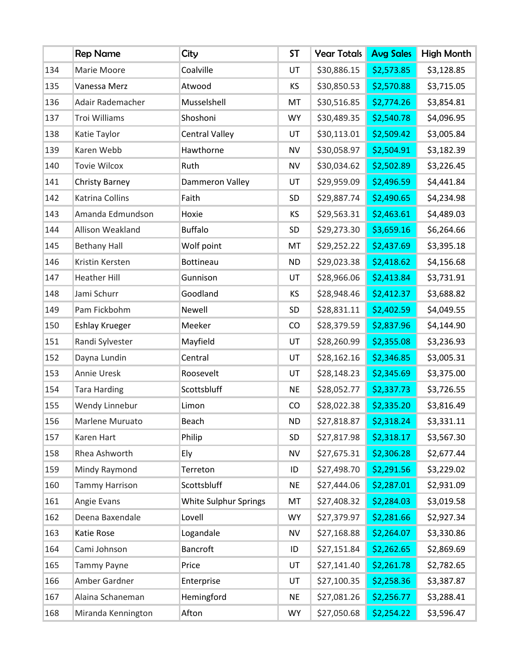|     | <b>Rep Name</b>       | City                  | <b>ST</b> | <b>Year Totals</b> | <b>Avg Sales</b> | High Month |
|-----|-----------------------|-----------------------|-----------|--------------------|------------------|------------|
| 134 | Marie Moore           | Coalville             | UT        | \$30,886.15        | \$2,573.85       | \$3,128.85 |
| 135 | Vanessa Merz          | Atwood                | KS        | \$30,850.53        | \$2,570.88       | \$3,715.05 |
| 136 | Adair Rademacher      | Musselshell           | MT        | \$30,516.85        | \$2,774.26       | \$3,854.81 |
| 137 | Troi Williams         | Shoshoni              | <b>WY</b> | \$30,489.35        | \$2,540.78       | \$4,096.95 |
| 138 | Katie Taylor          | <b>Central Valley</b> | UT        | \$30,113.01        | \$2,509.42       | \$3,005.84 |
| 139 | Karen Webb            | Hawthorne             | <b>NV</b> | \$30,058.97        | \$2,504.91       | \$3,182.39 |
| 140 | <b>Tovie Wilcox</b>   | Ruth                  | <b>NV</b> | \$30,034.62        | \$2,502.89       | \$3,226.45 |
| 141 | <b>Christy Barney</b> | Dammeron Valley       | UT        | \$29,959.09        | \$2,496.59       | \$4,441.84 |
| 142 | Katrina Collins       | Faith                 | SD        | \$29,887.74        | \$2,490.65       | \$4,234.98 |
| 143 | Amanda Edmundson      | Hoxie                 | KS        | \$29,563.31        | \$2,463.61       | \$4,489.03 |
| 144 | Allison Weakland      | <b>Buffalo</b>        | SD        | \$29,273.30        | \$3,659.16       | \$6,264.66 |
| 145 | <b>Bethany Hall</b>   | Wolf point            | MT        | \$29,252.22        | \$2,437.69       | \$3,395.18 |
| 146 | Kristin Kersten       | Bottineau             | <b>ND</b> | \$29,023.38        | \$2,418.62       | \$4,156.68 |
| 147 | <b>Heather Hill</b>   | Gunnison              | UT        | \$28,966.06        | \$2,413.84       | \$3,731.91 |
| 148 | Jami Schurr           | Goodland              | ΚS        | \$28,948.46        | \$2,412.37       | \$3,688.82 |
| 149 | Pam Fickbohm          | Newell                | SD        | \$28,831.11        | \$2,402.59       | \$4,049.55 |
| 150 | <b>Eshlay Krueger</b> | Meeker                | CO        | \$28,379.59        | \$2,837.96       | \$4,144.90 |
| 151 | Randi Sylvester       | Mayfield              | UT        | \$28,260.99        | \$2,355.08       | \$3,236.93 |
| 152 | Dayna Lundin          | Central               | UT        | \$28,162.16        | \$2,346.85       | \$3,005.31 |
| 153 | Annie Uresk           | Roosevelt             | UT        | \$28,148.23        | \$2,345.69       | \$3,375.00 |
| 154 | <b>Tara Harding</b>   | Scottsbluff           | <b>NE</b> | \$28,052.77        | \$2,337.73       | \$3,726.55 |
| 155 | Wendy Linnebur        | Limon                 | CO        | \$28,022.38        | \$2,335.20       | \$3,816.49 |
| 156 | Marlene Muruato       | Beach                 | <b>ND</b> | \$27,818.87        | \$2,318.24       | \$3,331.11 |
| 157 | Karen Hart            | Philip                | SD        | \$27,817.98        | \$2,318.17       | \$3,567.30 |
| 158 | Rhea Ashworth         | Ely                   | <b>NV</b> | \$27,675.31        | \$2,306.28       | \$2,677.44 |
| 159 | Mindy Raymond         | Terreton              | ID        | \$27,498.70        | \$2,291.56       | \$3,229.02 |
| 160 | <b>Tammy Harrison</b> | Scottsbluff           | <b>NE</b> | \$27,444.06        | \$2,287.01       | \$2,931.09 |
| 161 | Angie Evans           | White Sulphur Springs | MT        | \$27,408.32        | \$2,284.03       | \$3,019.58 |
| 162 | Deena Baxendale       | Lovell                | <b>WY</b> | \$27,379.97        | \$2,281.66       | \$2,927.34 |
| 163 | Katie Rose            | Logandale             | NV        | \$27,168.88        | \$2,264.07       | \$3,330.86 |
| 164 | Cami Johnson          | Bancroft              | ID        | \$27,151.84        | \$2,262.65       | \$2,869.69 |
| 165 | <b>Tammy Payne</b>    | Price                 | UT        | \$27,141.40        | \$2,261.78       | \$2,782.65 |
| 166 | Amber Gardner         | Enterprise            | UT        | \$27,100.35        | \$2,258.36       | \$3,387.87 |
| 167 | Alaina Schaneman      | Hemingford            | <b>NE</b> | \$27,081.26        | \$2,256.77       | \$3,288.41 |
| 168 | Miranda Kennington    | Afton                 | <b>WY</b> | \$27,050.68        | \$2,254.22       | \$3,596.47 |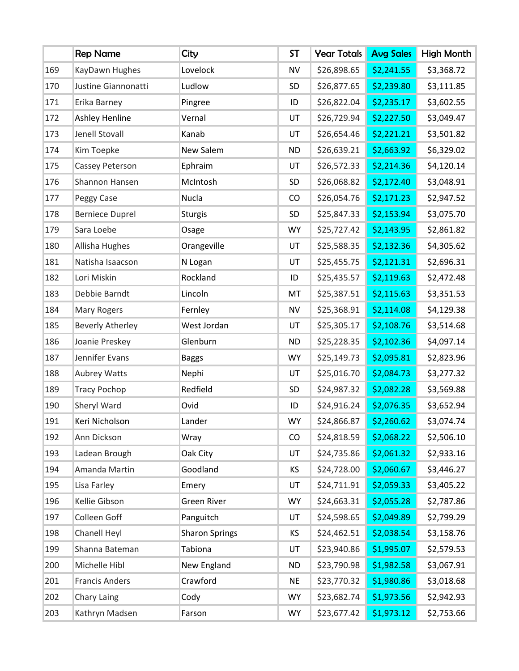|     | <b>Rep Name</b>         | City                  | <b>ST</b> | <b>Year Totals</b> | <b>Avg Sales</b> | High Month |
|-----|-------------------------|-----------------------|-----------|--------------------|------------------|------------|
| 169 | KayDawn Hughes          | Lovelock              | <b>NV</b> | \$26,898.65        | \$2,241.55       | \$3,368.72 |
| 170 | Justine Giannonatti     | Ludlow                | SD        | \$26,877.65        | \$2,239.80       | \$3,111.85 |
| 171 | Erika Barney            | Pingree               | ID        | \$26,822.04        | \$2,235.17       | \$3,602.55 |
| 172 | <b>Ashley Henline</b>   | Vernal                | UT        | \$26,729.94        | \$2,227.50       | \$3,049.47 |
| 173 | Jenell Stovall          | Kanab                 | UT        | \$26,654.46        | \$2,221.21       | \$3,501.82 |
| 174 | Kim Toepke              | New Salem             | <b>ND</b> | \$26,639.21        | \$2,663.92       | \$6,329.02 |
| 175 | Cassey Peterson         | Ephraim               | UT        | \$26,572.33        | \$2,214.36       | \$4,120.14 |
| 176 | Shannon Hansen          | McIntosh              | SD        | \$26,068.82        | \$2,172.40       | \$3,048.91 |
| 177 | Peggy Case              | Nucla                 | CO        | \$26,054.76        | \$2,171.23       | \$2,947.52 |
| 178 | <b>Berniece Duprel</b>  | <b>Sturgis</b>        | SD        | \$25,847.33        | \$2,153.94       | \$3,075.70 |
| 179 | Sara Loebe              | Osage                 | <b>WY</b> | \$25,727.42        | \$2,143.95       | \$2,861.82 |
| 180 | Allisha Hughes          | Orangeville           | UT        | \$25,588.35        | \$2,132.36       | \$4,305.62 |
| 181 | Natisha Isaacson        | N Logan               | UT        | \$25,455.75        | \$2,121.31       | \$2,696.31 |
| 182 | Lori Miskin             | Rockland              | ID        | \$25,435.57        | \$2,119.63       | \$2,472.48 |
| 183 | Debbie Barndt           | Lincoln               | MT        | \$25,387.51        | \$2,115.63       | \$3,351.53 |
| 184 | Mary Rogers             | Fernley               | <b>NV</b> | \$25,368.91        | \$2,114.08       | \$4,129.38 |
| 185 | <b>Beverly Atherley</b> | West Jordan           | UT        | \$25,305.17        | \$2,108.76       | \$3,514.68 |
| 186 | Joanie Preskey          | Glenburn              | <b>ND</b> | \$25,228.35        | \$2,102.36       | \$4,097.14 |
| 187 | Jennifer Evans          | <b>Baggs</b>          | <b>WY</b> | \$25,149.73        | \$2,095.81       | \$2,823.96 |
| 188 | Aubrey Watts            | Nephi                 | UT        | \$25,016.70        | \$2,084.73       | \$3,277.32 |
| 189 | <b>Tracy Pochop</b>     | Redfield              | SD        | \$24,987.32        | \$2,082.28       | \$3,569.88 |
| 190 | Sheryl Ward             | Ovid                  | ID        | \$24,916.24        | \$2,076.35       | \$3,652.94 |
| 191 | Keri Nicholson          | Lander                | <b>WY</b> | \$24,866.87        | \$2,260.62       | \$3,074.74 |
| 192 | Ann Dickson             | Wray                  | CO        | \$24,818.59        | \$2,068.22       | \$2,506.10 |
| 193 | Ladean Brough           | Oak City              | UT        | \$24,735.86        | \$2,061.32       | \$2,933.16 |
| 194 | Amanda Martin           | Goodland              | KS        | \$24,728.00        | \$2,060.67       | \$3,446.27 |
| 195 | Lisa Farley             | Emery                 | UT        | \$24,711.91        | \$2,059.33       | \$3,405.22 |
| 196 | Kellie Gibson           | <b>Green River</b>    | <b>WY</b> | \$24,663.31        | \$2,055.28       | \$2,787.86 |
| 197 | Colleen Goff            | Panguitch             | UT        | \$24,598.65        | \$2,049.89       | \$2,799.29 |
| 198 | Chanell Heyl            | <b>Sharon Springs</b> | KS        | \$24,462.51        | \$2,038.54       | \$3,158.76 |
| 199 | Shanna Bateman          | Tabiona               | UT        | \$23,940.86        | \$1,995.07       | \$2,579.53 |
| 200 | Michelle Hibl           | New England           | <b>ND</b> | \$23,790.98        | \$1,982.58       | \$3,067.91 |
| 201 | <b>Francis Anders</b>   | Crawford              | <b>NE</b> | \$23,770.32        | \$1,980.86       | \$3,018.68 |
| 202 | Chary Laing             | Cody                  | <b>WY</b> | \$23,682.74        | \$1,973.56       | \$2,942.93 |
| 203 | Kathryn Madsen          | Farson                | <b>WY</b> | \$23,677.42        | \$1,973.12       | \$2,753.66 |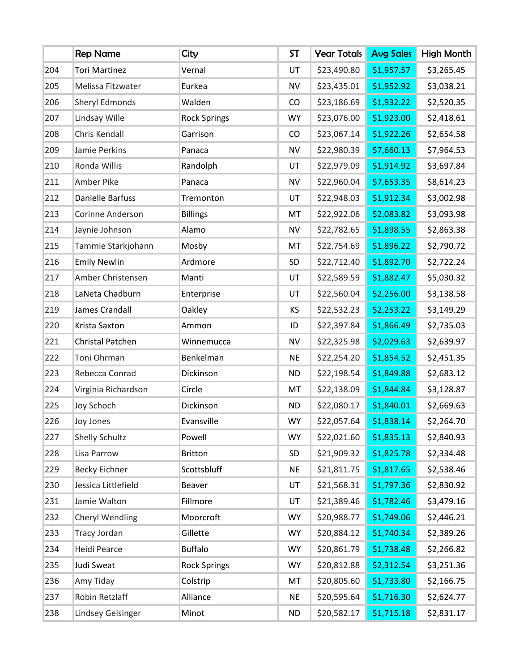|     | <b>Rep Name</b>       | City                | <b>ST</b> | <b>Year Totals</b> | <b>Avg Sales</b> | <b>High Month</b> |
|-----|-----------------------|---------------------|-----------|--------------------|------------------|-------------------|
| 204 | <b>Tori Martinez</b>  | Vernal              | UT        | \$23,490.80        | \$1,957.57       | \$3,265.45        |
| 205 | Melissa Fitzwater     | Eurkea              | <b>NV</b> | \$23,435.01        | \$1,952.92       | \$3,038.21        |
| 206 | <b>Sheryl Edmonds</b> | Walden              | CO        | \$23,186.69        | \$1,932.22       | \$2,520.35        |
| 207 | Lindsay Wille         | <b>Rock Springs</b> | <b>WY</b> | \$23,076.00        | \$1,923.00       | \$2,418.61        |
| 208 | Chris Kendall         | Garrison            | CO        | \$23,067.14        | \$1,922.26       | \$2,654.58        |
| 209 | Jamie Perkins         | Panaca              | <b>NV</b> | \$22,980.39        | \$7,660.13       | \$7,964.53        |
| 210 | Ronda Willis          | Randolph            | UT        | \$22,979.09        | \$1,914.92       | \$3,697.84        |
| 211 | Amber Pike            | Panaca              | <b>NV</b> | \$22,960.04        | \$7,653.35       | \$8,614.23        |
| 212 | Danielle Barfuss      | Tremonton           | UT        | \$22,948.03        | \$1,912.34       | \$3,002.98        |
| 213 | Corinne Anderson      | <b>Billings</b>     | MT        | \$22,922.06        | \$2,083.82       | \$3,093.98        |
| 214 | Jaynie Johnson        | Alamo               | <b>NV</b> | \$22,782.65        | \$1,898.55       | \$2,863.38        |
| 215 | Tammie Starkjohann    | Mosby               | MT        | \$22,754.69        | \$1,896.22       | \$2,790.72        |
| 216 | <b>Emily Newlin</b>   | Ardmore             | SD        | \$22,712.40        | \$1,892.70       | \$2,722.24        |
| 217 | Amber Christensen     | Manti               | UT        | \$22,589.59        | \$1,882.47       | \$5,030.32        |
| 218 | LaNeta Chadburn       | Enterprise          | UT        | \$22,560.04        | \$2,256.00       | \$3,138.58        |
| 219 | James Crandall        | Oakley              | KS        | \$22,532.23        | \$2,253.22       | \$3,149.29        |
| 220 | Krista Saxton         | Ammon               | ID        | \$22,397.84        | \$1,866.49       | \$2,735.03        |
| 221 | Christal Patchen      | Winnemucca          | <b>NV</b> | \$22,325.98        | \$2,029.63       | \$2,639.97        |
| 222 | Toni Ohrman           | Benkelman           | <b>NE</b> | \$22,254.20        | \$1,854.52       | \$2,451.35        |
| 223 | Rebecca Conrad        | Dickinson           | <b>ND</b> | \$22,198.54        | \$1,849.88       | \$2,683.12        |
| 224 | Virginia Richardson   | Circle              | MT        | \$22,138.09        | \$1,844.84       | \$3,128.87        |
| 225 | Joy Schoch            | Dickinson           | <b>ND</b> | \$22,080.17        | \$1,840.01       | \$2,669.63        |
| 226 | Joy Jones             | Evansville          | <b>WY</b> | \$22,057.64        | \$1,838.14       | \$2,264.70        |
| 227 | <b>Shelly Schultz</b> | Powell              | <b>WY</b> | \$22,021.60        | \$1,835.13       | \$2,840.93        |
| 228 | Lisa Parrow           | <b>Britton</b>      | SD        | \$21,909.32        | \$1,825.78       | \$2,334.48        |
| 229 | <b>Becky Eichner</b>  | Scottsbluff         | <b>NE</b> | \$21,811.75        | \$1,817.65       | \$2,538.46        |
| 230 | Jessica Littlefield   | Beaver              | UT        | \$21,568.31        | \$1,797.36       | \$2,830.92        |
| 231 | Jamie Walton          | Fillmore            | UT        | \$21,389.46        | \$1,782.46       | \$3,479.16        |
| 232 | Cheryl Wendling       | Moorcroft           | <b>WY</b> | \$20,988.77        | \$1,749.06       | \$2,446.21        |
| 233 | Tracy Jordan          | Gillette            | <b>WY</b> | \$20,884.12        | \$1,740.34       | \$2,389.26        |
| 234 | Heidi Pearce          | <b>Buffalo</b>      | <b>WY</b> | \$20,861.79        | \$1,738.48       | \$2,266.82        |
| 235 | Judi Sweat            | <b>Rock Springs</b> | <b>WY</b> | \$20,812.88        | \$2,312.54       | \$3,251.36        |
| 236 | Amy Tiday             | Colstrip            | MT        | \$20,805.60        | \$1,733.80       | \$2,166.75        |
| 237 | Robin Retzlaff        | Alliance            | <b>NE</b> | \$20,595.64        | \$1,716.30       | \$2,624.77        |
| 238 | Lindsey Geisinger     | Minot               | <b>ND</b> | \$20,582.17        | \$1,715.18       | \$2,831.17        |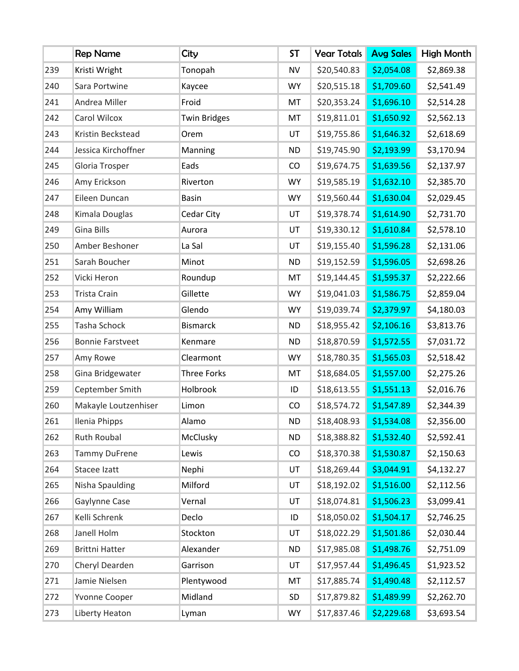|     | <b>Rep Name</b>         | City                | <b>ST</b> | <b>Year Totals</b> | <b>Avg Sales</b> | High Month |
|-----|-------------------------|---------------------|-----------|--------------------|------------------|------------|
| 239 | Kristi Wright           | Tonopah             | <b>NV</b> | \$20,540.83        | \$2,054.08       | \$2,869.38 |
| 240 | Sara Portwine           | Kaycee              | <b>WY</b> | \$20,515.18        | \$1,709.60       | \$2,541.49 |
| 241 | Andrea Miller           | Froid               | MT        | \$20,353.24        | \$1,696.10       | \$2,514.28 |
| 242 | Carol Wilcox            | <b>Twin Bridges</b> | MT        | \$19,811.01        | \$1,650.92       | \$2,562.13 |
| 243 | Kristin Beckstead       | Orem                | UT        | \$19,755.86        | \$1,646.32       | \$2,618.69 |
| 244 | Jessica Kirchoffner     | Manning             | <b>ND</b> | \$19,745.90        | \$2,193.99       | \$3,170.94 |
| 245 | Gloria Trosper          | Eads                | CO        | \$19,674.75        | \$1,639.56       | \$2,137.97 |
| 246 | Amy Erickson            | Riverton            | <b>WY</b> | \$19,585.19        | \$1,632.10       | \$2,385.70 |
| 247 | Eileen Duncan           | <b>Basin</b>        | <b>WY</b> | \$19,560.44        | \$1,630.04       | \$2,029.45 |
| 248 | Kimala Douglas          | Cedar City          | UT        | \$19,378.74        | \$1,614.90       | \$2,731.70 |
| 249 | <b>Gina Bills</b>       | Aurora              | UT        | \$19,330.12        | \$1,610.84       | \$2,578.10 |
| 250 | Amber Beshoner          | La Sal              | UT        | \$19,155.40        | \$1,596.28       | \$2,131.06 |
| 251 | Sarah Boucher           | Minot               | <b>ND</b> | \$19,152.59        | \$1,596.05       | \$2,698.26 |
| 252 | Vicki Heron             | Roundup             | MT        | \$19,144.45        | \$1,595.37       | \$2,222.66 |
| 253 | <b>Trista Crain</b>     | Gillette            | <b>WY</b> | \$19,041.03        | \$1,586.75       | \$2,859.04 |
| 254 | Amy William             | Glendo              | <b>WY</b> | \$19,039.74        | \$2,379.97       | \$4,180.03 |
| 255 | Tasha Schock            | <b>Bismarck</b>     | <b>ND</b> | \$18,955.42        | \$2,106.16       | \$3,813.76 |
| 256 | <b>Bonnie Farstveet</b> | Kenmare             | <b>ND</b> | \$18,870.59        | \$1,572.55       | \$7,031.72 |
| 257 | Amy Rowe                | Clearmont           | <b>WY</b> | \$18,780.35        | \$1,565.03       | \$2,518.42 |
| 258 | Gina Bridgewater        | <b>Three Forks</b>  | MT        | \$18,684.05        | \$1,557.00       | \$2,275.26 |
| 259 | Ceptember Smith         | Holbrook            | ID        | \$18,613.55        | \$1,551.13       | \$2,016.76 |
| 260 | Makayle Loutzenhiser    | Limon               | CO        | \$18,574.72        | \$1,547.89       | \$2,344.39 |
| 261 | Ilenia Phipps           | Alamo               | <b>ND</b> | \$18,408.93        | \$1,534.08       | \$2,356.00 |
| 262 | Ruth Roubal             | McClusky            | <b>ND</b> | \$18,388.82        | \$1,532.40       | \$2,592.41 |
| 263 | <b>Tammy DuFrene</b>    | Lewis               | CO        | \$18,370.38        | \$1,530.87       | \$2,150.63 |
| 264 | Stacee Izatt            | Nephi               | UT        | \$18,269.44        | \$3,044.91       | \$4,132.27 |
| 265 | Nisha Spaulding         | Milford             | UT        | \$18,192.02        | \$1,516.00       | \$2,112.56 |
| 266 | Gaylynne Case           | Vernal              | UT        | \$18,074.81        | \$1,506.23       | \$3,099.41 |
| 267 | Kelli Schrenk           | Declo               | ID        | \$18,050.02        | \$1,504.17       | \$2,746.25 |
| 268 | Janell Holm             | Stockton            | UT        | \$18,022.29        | \$1,501.86       | \$2,030.44 |
| 269 | <b>Brittni Hatter</b>   | Alexander           | <b>ND</b> | \$17,985.08        | \$1,498.76       | \$2,751.09 |
| 270 | Cheryl Dearden          | Garrison            | UT        | \$17,957.44        | \$1,496.45       | \$1,923.52 |
| 271 | Jamie Nielsen           | Plentywood          | MT        | \$17,885.74        | \$1,490.48       | \$2,112.57 |
| 272 | Yvonne Cooper           | Midland             | SD        | \$17,879.82        | \$1,489.99       | \$2,262.70 |
| 273 | Liberty Heaton          | Lyman               | <b>WY</b> | \$17,837.46        | \$2,229.68       | \$3,693.54 |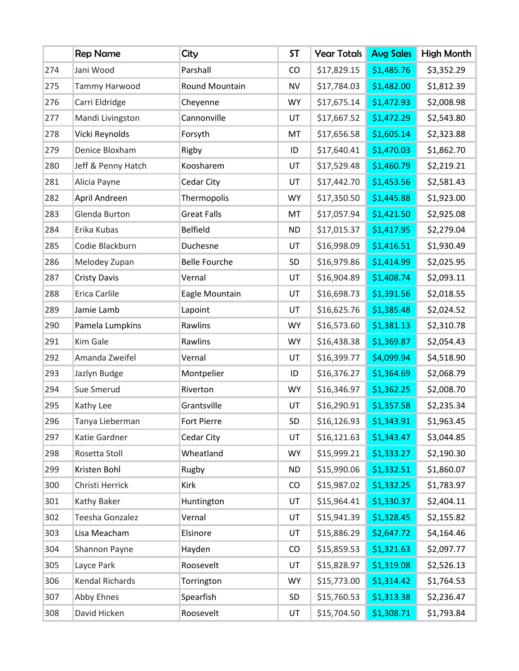|     | <b>Rep Name</b>     | City                 | <b>ST</b> | <b>Year Totals</b> | <b>Avg Sales</b> | High Month |
|-----|---------------------|----------------------|-----------|--------------------|------------------|------------|
| 274 | Jani Wood           | Parshall             | CO        | \$17,829.15        | \$1,485.76       | \$3,352.29 |
| 275 | Tammy Harwood       | Round Mountain       | <b>NV</b> | \$17,784.03        | \$1,482.00       | \$1,812.39 |
| 276 | Carri Eldridge      | Cheyenne             | <b>WY</b> | \$17,675.14        | \$1,472.93       | \$2,008.98 |
| 277 | Mandi Livingston    | Cannonville          | UT        | \$17,667.52        | \$1,472.29       | \$2,543.80 |
| 278 | Vicki Reynolds      | Forsyth              | MT        | \$17,656.58        | \$1,605.14       | \$2,323.88 |
| 279 | Denice Bloxham      | Rigby                | ID        | \$17,640.41        | \$1,470.03       | \$1,862.70 |
| 280 | Jeff & Penny Hatch  | Koosharem            | UT        | \$17,529.48        | \$1,460.79       | \$2,219.21 |
| 281 | Alicia Payne        | Cedar City           | UT        | \$17,442.70        | \$1,453.56       | \$2,581.43 |
| 282 | April Andreen       | Thermopolis          | <b>WY</b> | \$17,350.50        | \$1,445.88       | \$1,923.00 |
| 283 | Glenda Burton       | <b>Great Falls</b>   | MT        | \$17,057.94        | \$1,421.50       | \$2,925.08 |
| 284 | Erika Kubas         | <b>Belfield</b>      | <b>ND</b> | \$17,015.37        | \$1,417.95       | \$2,279.04 |
| 285 | Codie Blackburn     | Duchesne             | UT        | \$16,998.09        | \$1,416.51       | \$1,930.49 |
| 286 | Melodey Zupan       | <b>Belle Fourche</b> | SD        | \$16,979.86        | \$1,414.99       | \$2,025.95 |
| 287 | <b>Cristy Davis</b> | Vernal               | UT        | \$16,904.89        | \$1,408.74       | \$2,093.11 |
| 288 | Erica Carlile       | Eagle Mountain       | UT        | \$16,698.73        | \$1,391.56       | \$2,018.55 |
| 289 | Jamie Lamb          | Lapoint              | UT        | \$16,625.76        | \$1,385.48       | \$2,024.52 |
| 290 | Pamela Lumpkins     | Rawlins              | <b>WY</b> | \$16,573.60        | \$1,381.13       | \$2,310.78 |
| 291 | Kim Gale            | Rawlins              | <b>WY</b> | \$16,438.38        | \$1,369.87       | \$2,054.43 |
| 292 | Amanda Zweifel      | Vernal               | UT        | \$16,399.77        | \$4,099.94       | \$4,518.90 |
| 293 | Jazlyn Budge        | Montpelier           | ID        | \$16,376.27        | \$1,364.69       | \$2,068.79 |
| 294 | Sue Smerud          | Riverton             | <b>WY</b> | \$16,346.97        | \$1,362.25       | \$2,008.70 |
| 295 | Kathy Lee           | Grantsville          | UT        | \$16,290.91        | \$1,357.58       | \$2,235.34 |
| 296 | Tanya Lieberman     | Fort Pierre          | SD        | \$16,126.93        | \$1,343.91       | \$1,963.45 |
| 297 | Katie Gardner       | Cedar City           | UT        | \$16,121.63        | \$1,343.47       | \$3,044.85 |
| 298 | Rosetta Stoll       | Wheatland            | <b>WY</b> | \$15,999.21        | \$1,333.27       | \$2,190.30 |
| 299 | Kristen Bohl        | Rugby                | <b>ND</b> | \$15,990.06        | \$1,332.51       | \$1,860.07 |
| 300 | Christi Herrick     | Kirk                 | CO        | \$15,987.02        | \$1,332.25       | \$1,783.97 |
| 301 | Kathy Baker         | Huntington           | UT        | \$15,964.41        | \$1,330.37       | \$2,404.11 |
| 302 | Teesha Gonzalez     | Vernal               | UT        | \$15,941.39        | \$1,328.45       | \$2,155.82 |
| 303 | Lisa Meacham        | Elsinore             | UT        | \$15,886.29        | \$2,647.72       | \$4,164.46 |
| 304 | Shannon Payne       | Hayden               | CO        | \$15,859.53        | \$1,321.63       | \$2,097.77 |
| 305 | Layce Park          | Roosevelt            | UT        | \$15,828.97        | \$1,319.08       | \$2,526.13 |
| 306 | Kendal Richards     | Torrington           | <b>WY</b> | \$15,773.00        | \$1,314.42       | \$1,764.53 |
| 307 | Abby Ehnes          | Spearfish            | SD        | \$15,760.53        | \$1,313.38       | \$2,236.47 |
| 308 | David Hicken        | Roosevelt            | UT        | \$15,704.50        | \$1,308.71       | \$1,793.84 |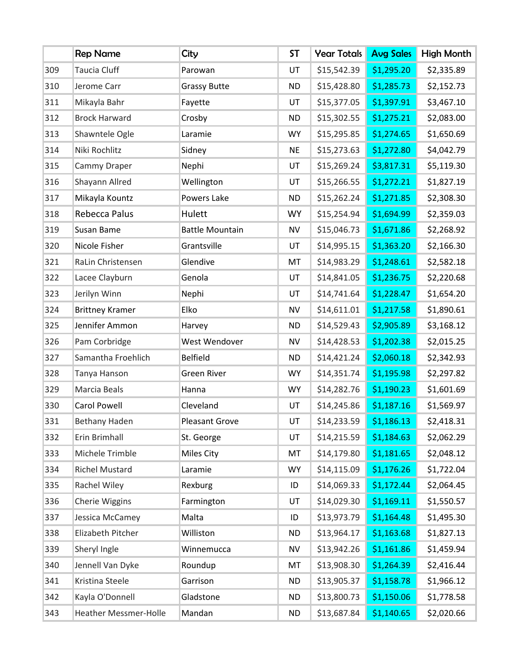|     | <b>Rep Name</b>        | City                   | <b>ST</b> | <b>Year Totals</b> | <b>Avg Sales</b> | High Month |
|-----|------------------------|------------------------|-----------|--------------------|------------------|------------|
| 309 | <b>Taucia Cluff</b>    | Parowan                | UT        | \$15,542.39        | \$1,295.20       | \$2,335.89 |
| 310 | Jerome Carr            | <b>Grassy Butte</b>    | <b>ND</b> | \$15,428.80        | \$1,285.73       | \$2,152.73 |
| 311 | Mikayla Bahr           | Fayette                | UT        | \$15,377.05        | \$1,397.91       | \$3,467.10 |
| 312 | <b>Brock Harward</b>   | Crosby                 | <b>ND</b> | \$15,302.55        | \$1,275.21       | \$2,083.00 |
| 313 | Shawntele Ogle         | Laramie                | <b>WY</b> | \$15,295.85        | \$1,274.65       | \$1,650.69 |
| 314 | Niki Rochlitz          | Sidney                 | <b>NE</b> | \$15,273.63        | \$1,272.80       | \$4,042.79 |
| 315 | Cammy Draper           | Nephi                  | UT        | \$15,269.24        | \$3,817.31       | \$5,119.30 |
| 316 | Shayann Allred         | Wellington             | UT        | \$15,266.55        | \$1,272.21       | \$1,827.19 |
| 317 | Mikayla Kountz         | Powers Lake            | <b>ND</b> | \$15,262.24        | \$1,271.85       | \$2,308.30 |
| 318 | Rebecca Palus          | Hulett                 | <b>WY</b> | \$15,254.94        | \$1,694.99       | \$2,359.03 |
| 319 | Susan Bame             | <b>Battle Mountain</b> | <b>NV</b> | \$15,046.73        | \$1,671.86       | \$2,268.92 |
| 320 | Nicole Fisher          | Grantsville            | UT        | \$14,995.15        | \$1,363.20       | \$2,166.30 |
| 321 | RaLin Christensen      | Glendive               | MT        | \$14,983.29        | \$1,248.61       | \$2,582.18 |
| 322 | Lacee Clayburn         | Genola                 | UT        | \$14,841.05        | \$1,236.75       | \$2,220.68 |
| 323 | Jerilyn Winn           | Nephi                  | UT        | \$14,741.64        | \$1,228.47       | \$1,654.20 |
| 324 | <b>Brittney Kramer</b> | Elko                   | NV        | \$14,611.01        | \$1,217.58       | \$1,890.61 |
| 325 | Jennifer Ammon         | Harvey                 | <b>ND</b> | \$14,529.43        | \$2,905.89       | \$3,168.12 |
| 326 | Pam Corbridge          | West Wendover          | <b>NV</b> | \$14,428.53        | \$1,202.38       | \$2,015.25 |
| 327 | Samantha Froehlich     | <b>Belfield</b>        | <b>ND</b> | \$14,421.24        | \$2,060.18       | \$2,342.93 |
| 328 | Tanya Hanson           | <b>Green River</b>     | <b>WY</b> | \$14,351.74        | \$1,195.98       | \$2,297.82 |
| 329 | Marcia Beals           | Hanna                  | <b>WY</b> | \$14,282.76        | \$1,190.23       | \$1,601.69 |
| 330 | <b>Carol Powell</b>    | Cleveland              | UT        | \$14,245.86        | \$1,187.16       | \$1,569.97 |
| 331 | Bethany Haden          | <b>Pleasant Grove</b>  | UT        | \$14,233.59        | \$1,186.13       | \$2,418.31 |
| 332 | Erin Brimhall          | St. George             | UT        | \$14,215.59        | \$1,184.63       | \$2,062.29 |
| 333 | Michele Trimble        | Miles City             | MT        | \$14,179.80        | \$1,181.65       | \$2,048.12 |
| 334 | <b>Richel Mustard</b>  | Laramie                | <b>WY</b> | \$14,115.09        | \$1,176.26       | \$1,722.04 |
| 335 | Rachel Wiley           | Rexburg                | ID        | \$14,069.33        | \$1,172.44       | \$2,064.45 |
| 336 | Cherie Wiggins         | Farmington             | UT        | \$14,029.30        | \$1,169.11       | \$1,550.57 |
| 337 | Jessica McCamey        | Malta                  | ID        | \$13,973.79        | \$1,164.48       | \$1,495.30 |
| 338 | Elizabeth Pitcher      | Williston              | <b>ND</b> | \$13,964.17        | \$1,163.68       | \$1,827.13 |
| 339 | Sheryl Ingle           | Winnemucca             | <b>NV</b> | \$13,942.26        | \$1,161.86       | \$1,459.94 |
| 340 | Jennell Van Dyke       | Roundup                | MT        | \$13,908.30        | \$1,264.39       | \$2,416.44 |
| 341 | Kristina Steele        | Garrison               | <b>ND</b> | \$13,905.37        | \$1,158.78       | \$1,966.12 |
| 342 | Kayla O'Donnell        | Gladstone              | <b>ND</b> | \$13,800.73        | \$1,150.06       | \$1,778.58 |
| 343 | Heather Messmer-Holle  | Mandan                 | <b>ND</b> | \$13,687.84        | \$1,140.65       | \$2,020.66 |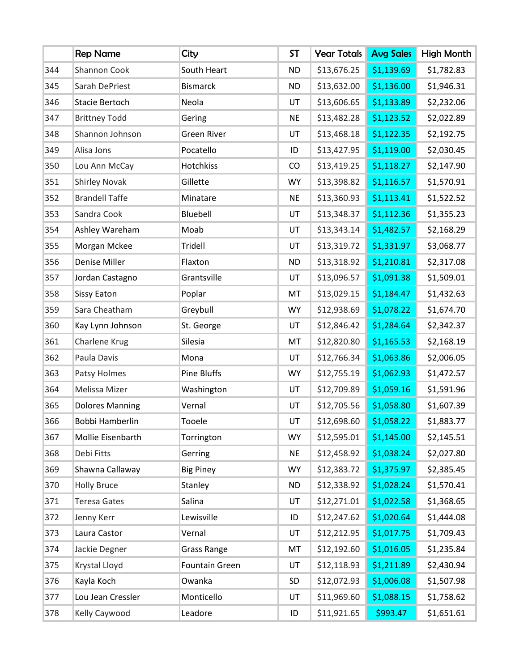|     | <b>Rep Name</b>        | City                  | <b>ST</b> | <b>Year Totals</b> | <b>Avg Sales</b> | High Month |
|-----|------------------------|-----------------------|-----------|--------------------|------------------|------------|
| 344 | Shannon Cook           | South Heart           | <b>ND</b> | \$13,676.25        | \$1,139.69       | \$1,782.83 |
| 345 | Sarah DePriest         | <b>Bismarck</b>       | <b>ND</b> | \$13,632.00        | \$1,136.00       | \$1,946.31 |
| 346 | Stacie Bertoch         | Neola                 | UT        | \$13,606.65        | \$1,133.89       | \$2,232.06 |
| 347 | <b>Brittney Todd</b>   | Gering                | <b>NE</b> | \$13,482.28        | \$1,123.52       | \$2,022.89 |
| 348 | Shannon Johnson        | <b>Green River</b>    | UT        | \$13,468.18        | \$1,122.35       | \$2,192.75 |
| 349 | Alisa Jons             | Pocatello             | ID        | \$13,427.95        | \$1,119.00       | \$2,030.45 |
| 350 | Lou Ann McCay          | Hotchkiss             | CO        | \$13,419.25        | \$1,118.27       | \$2,147.90 |
| 351 | <b>Shirley Novak</b>   | Gillette              | <b>WY</b> | \$13,398.82        | \$1,116.57       | \$1,570.91 |
| 352 | <b>Brandell Taffe</b>  | Minatare              | <b>NE</b> | \$13,360.93        | \$1,113.41       | \$1,522.52 |
| 353 | Sandra Cook            | Bluebell              | UT        | \$13,348.37        | \$1,112.36       | \$1,355.23 |
| 354 | Ashley Wareham         | Moab                  | UT        | \$13,343.14        | \$1,482.57       | \$2,168.29 |
| 355 | Morgan Mckee           | Tridell               | UT        | \$13,319.72        | \$1,331.97       | \$3,068.77 |
| 356 | Denise Miller          | Flaxton               | <b>ND</b> | \$13,318.92        | \$1,210.81       | \$2,317.08 |
| 357 | Jordan Castagno        | Grantsville           | UT        | \$13,096.57        | \$1,091.38       | \$1,509.01 |
| 358 | Sissy Eaton            | Poplar                | MT        | \$13,029.15        | \$1,184.47       | \$1,432.63 |
| 359 | Sara Cheatham          | Greybull              | <b>WY</b> | \$12,938.69        | \$1,078.22       | \$1,674.70 |
| 360 | Kay Lynn Johnson       | St. George            | UT        | \$12,846.42        | \$1,284.64       | \$2,342.37 |
| 361 | Charlene Krug          | Silesia               | MT        | \$12,820.80        | \$1,165.53       | \$2,168.19 |
| 362 | Paula Davis            | Mona                  | UT        | \$12,766.34        | \$1,063.86       | \$2,006.05 |
| 363 | Patsy Holmes           | Pine Bluffs           | <b>WY</b> | \$12,755.19        | \$1,062.93       | \$1,472.57 |
| 364 | Melissa Mizer          | Washington            | UT        | \$12,709.89        | \$1,059.16       | \$1,591.96 |
| 365 | <b>Dolores Manning</b> | Vernal                | UT        | \$12,705.56        | \$1,058.80       | \$1,607.39 |
| 366 | Bobbi Hamberlin        | Tooele                | UT        | \$12,698.60        | \$1,058.22       | \$1,883.77 |
| 367 | Mollie Eisenbarth      | Torrington            | <b>WY</b> | \$12,595.01        | \$1,145.00       | \$2,145.51 |
| 368 | Debi Fitts             | Gerring               | <b>NE</b> | \$12,458.92        | \$1,038.24       | \$2,027.80 |
| 369 | Shawna Callaway        | <b>Big Piney</b>      | <b>WY</b> | \$12,383.72        | \$1,375.97       | \$2,385.45 |
| 370 | <b>Holly Bruce</b>     | Stanley               | <b>ND</b> | \$12,338.92        | \$1,028.24       | \$1,570.41 |
| 371 | <b>Teresa Gates</b>    | Salina                | UT        | \$12,271.01        | \$1,022.58       | \$1,368.65 |
| 372 | Jenny Kerr             | Lewisville            | ID        | \$12,247.62        | \$1,020.64       | \$1,444.08 |
| 373 | Laura Castor           | Vernal                | UT        | \$12,212.95        | \$1,017.75       | \$1,709.43 |
| 374 | Jackie Degner          | <b>Grass Range</b>    | MT        | \$12,192.60        | \$1,016.05       | \$1,235.84 |
| 375 | Krystal Lloyd          | <b>Fountain Green</b> | UT        | \$12,118.93        | \$1,211.89       | \$2,430.94 |
| 376 | Kayla Koch             | Owanka                | SD        | \$12,072.93        | \$1,006.08       | \$1,507.98 |
| 377 | Lou Jean Cressler      | Monticello            | UT        | \$11,969.60        | \$1,088.15       | \$1,758.62 |
| 378 | Kelly Caywood          | Leadore               | ID        | \$11,921.65        | \$993.47         | \$1,651.61 |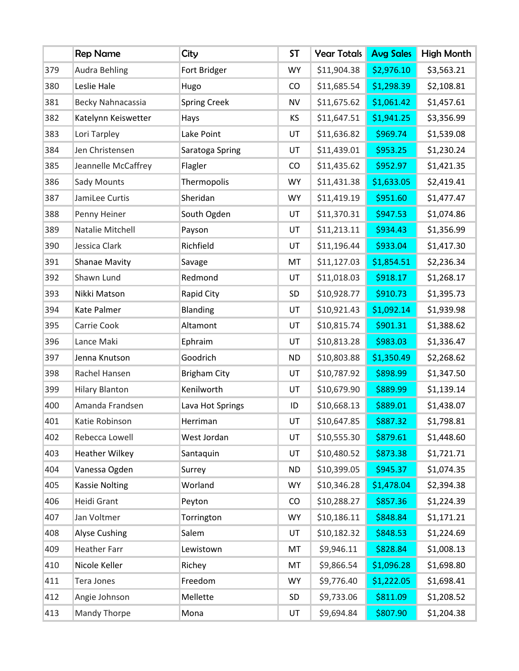|     | <b>Rep Name</b>       | City                | <b>ST</b> | <b>Year Totals</b> | <b>Avg Sales</b> | High Month |
|-----|-----------------------|---------------------|-----------|--------------------|------------------|------------|
| 379 | <b>Audra Behling</b>  | Fort Bridger        | <b>WY</b> | \$11,904.38        | \$2,976.10       | \$3,563.21 |
| 380 | Leslie Hale           | Hugo                | CO        | \$11,685.54        | \$1,298.39       | \$2,108.81 |
| 381 | Becky Nahnacassia     | <b>Spring Creek</b> | <b>NV</b> | \$11,675.62        | \$1,061.42       | \$1,457.61 |
| 382 | Katelynn Keiswetter   | Hays                | KS        | \$11,647.51        | \$1,941.25       | \$3,356.99 |
| 383 | Lori Tarpley          | Lake Point          | UT        | \$11,636.82        | \$969.74         | \$1,539.08 |
| 384 | Jen Christensen       | Saratoga Spring     | UT        | \$11,439.01        | \$953.25         | \$1,230.24 |
| 385 | Jeannelle McCaffrey   | Flagler             | CO        | \$11,435.62        | \$952.97         | \$1,421.35 |
| 386 | Sady Mounts           | Thermopolis         | <b>WY</b> | \$11,431.38        | \$1,633.05       | \$2,419.41 |
| 387 | JamiLee Curtis        | Sheridan            | <b>WY</b> | \$11,419.19        | \$951.60         | \$1,477.47 |
| 388 | Penny Heiner          | South Ogden         | UT        | \$11,370.31        | \$947.53         | \$1,074.86 |
| 389 | Natalie Mitchell      | Payson              | UT        | \$11,213.11        | \$934.43         | \$1,356.99 |
| 390 | Jessica Clark         | Richfield           | UT        | \$11,196.44        | \$933.04         | \$1,417.30 |
| 391 | <b>Shanae Mavity</b>  | Savage              | MT        | \$11,127.03        | \$1,854.51       | \$2,236.34 |
| 392 | Shawn Lund            | Redmond             | UT        | \$11,018.03        | \$918.17         | \$1,268.17 |
| 393 | Nikki Matson          | Rapid City          | SD        | \$10,928.77        | \$910.73         | \$1,395.73 |
| 394 | Kate Palmer           | Blanding            | UT        | \$10,921.43        | \$1,092.14       | \$1,939.98 |
| 395 | Carrie Cook           | Altamont            | UT        | \$10,815.74        | \$901.31         | \$1,388.62 |
| 396 | Lance Maki            | Ephraim             | UT        | \$10,813.28        | \$983.03         | \$1,336.47 |
| 397 | Jenna Knutson         | Goodrich            | <b>ND</b> | \$10,803.88        | \$1,350.49       | \$2,268.62 |
| 398 | Rachel Hansen         | <b>Brigham City</b> | UT        | \$10,787.92        | \$898.99         | \$1,347.50 |
| 399 | <b>Hilary Blanton</b> | Kenilworth          | UT        | \$10,679.90        | \$889.99         | \$1,139.14 |
| 400 | Amanda Frandsen       | Lava Hot Springs    | ID        | \$10,668.13        | \$889.01         | \$1,438.07 |
| 401 | Katie Robinson        | Herriman            | UT        | \$10,647.85        | \$887.32         | \$1,798.81 |
| 402 | Rebecca Lowell        | West Jordan         | UT        | \$10,555.30        | \$879.61         | \$1,448.60 |
| 403 | <b>Heather Wilkey</b> | Santaquin           | UT        | \$10,480.52        | \$873.38         | \$1,721.71 |
| 404 | Vanessa Ogden         | Surrey              | <b>ND</b> | \$10,399.05        | \$945.37         | \$1,074.35 |
| 405 | <b>Kassie Nolting</b> | Worland             | <b>WY</b> | \$10,346.28        | \$1,478.04       | \$2,394.38 |
| 406 | Heidi Grant           | Peyton              | CO        | \$10,288.27        | \$857.36         | \$1,224.39 |
| 407 | Jan Voltmer           | Torrington          | <b>WY</b> | \$10,186.11        | \$848.84         | \$1,171.21 |
| 408 | <b>Alyse Cushing</b>  | Salem               | UT        | \$10,182.32        | \$848.53         | \$1,224.69 |
| 409 | <b>Heather Farr</b>   | Lewistown           | MT        | \$9,946.11         | \$828.84         | \$1,008.13 |
| 410 | Nicole Keller         | Richey              | MT        | \$9,866.54         | \$1,096.28       | \$1,698.80 |
| 411 | Tera Jones            | Freedom             | <b>WY</b> | \$9,776.40         | \$1,222.05       | \$1,698.41 |
| 412 | Angie Johnson         | Mellette            | SD        | \$9,733.06         | \$811.09         | \$1,208.52 |
| 413 | Mandy Thorpe          | Mona                | UT        | \$9,694.84         | \$807.90         | \$1,204.38 |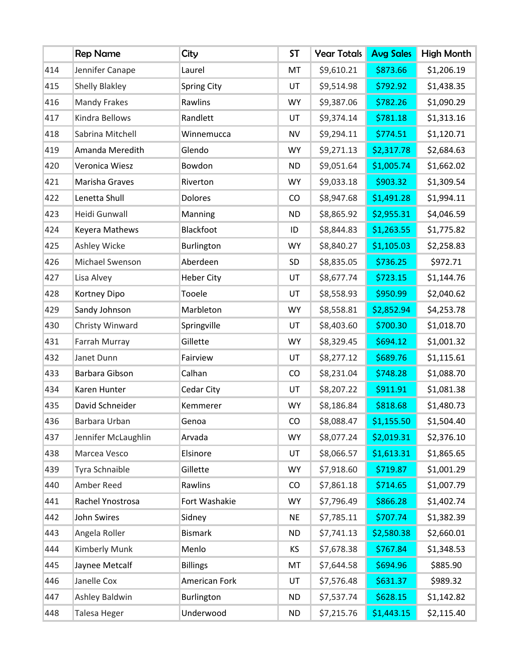|     | <b>Rep Name</b>       | City               | <b>ST</b> | <b>Year Totals</b> | <b>Avg Sales</b> | High Month |
|-----|-----------------------|--------------------|-----------|--------------------|------------------|------------|
| 414 | Jennifer Canape       | Laurel             | MT        | \$9,610.21         | \$873.66         | \$1,206.19 |
| 415 | <b>Shelly Blakley</b> | <b>Spring City</b> | UT        | \$9,514.98         | \$792.92         | \$1,438.35 |
| 416 | <b>Mandy Frakes</b>   | Rawlins            | <b>WY</b> | \$9,387.06         | \$782.26         | \$1,090.29 |
| 417 | Kindra Bellows        | Randlett           | UT        | \$9,374.14         | \$781.18         | \$1,313.16 |
| 418 | Sabrina Mitchell      | Winnemucca         | <b>NV</b> | \$9,294.11         | \$774.51         | \$1,120.71 |
| 419 | Amanda Meredith       | Glendo             | <b>WY</b> | \$9,271.13         | \$2,317.78       | \$2,684.63 |
| 420 | Veronica Wiesz        | Bowdon             | <b>ND</b> | \$9,051.64         | \$1,005.74       | \$1,662.02 |
| 421 | Marisha Graves        | Riverton           | <b>WY</b> | \$9,033.18         | \$903.32         | \$1,309.54 |
| 422 | Lenetta Shull         | <b>Dolores</b>     | CO        | \$8,947.68         | \$1,491.28       | \$1,994.11 |
| 423 | Heidi Gunwall         | Manning            | <b>ND</b> | \$8,865.92         | \$2,955.31       | \$4,046.59 |
| 424 | Keyera Mathews        | Blackfoot          | ID        | \$8,844.83         | \$1,263.55       | \$1,775.82 |
| 425 | Ashley Wicke          | Burlington         | <b>WY</b> | \$8,840.27         | \$1,105.03       | \$2,258.83 |
| 426 | Michael Swenson       | Aberdeen           | SD        | \$8,835.05         | \$736.25         | \$972.71   |
| 427 | Lisa Alvey            | <b>Heber City</b>  | UT        | \$8,677.74         | \$723.15         | \$1,144.76 |
| 428 | Kortney Dipo          | Tooele             | UT        | \$8,558.93         | \$950.99         | \$2,040.62 |
| 429 | Sandy Johnson         | Marbleton          | <b>WY</b> | \$8,558.81         | \$2,852.94       | \$4,253.78 |
| 430 | Christy Winward       | Springville        | UT        | \$8,403.60         | \$700.30         | \$1,018.70 |
| 431 | Farrah Murray         | Gillette           | <b>WY</b> | \$8,329.45         | \$694.12         | \$1,001.32 |
| 432 | Janet Dunn            | Fairview           | UT        | \$8,277.12         | \$689.76         | \$1,115.61 |
| 433 | Barbara Gibson        | Calhan             | CO        | \$8,231.04         | \$748.28         | \$1,088.70 |
| 434 | Karen Hunter          | Cedar City         | UT        | \$8,207.22         | \$911.91         | \$1,081.38 |
| 435 | David Schneider       | Kemmerer           | <b>WY</b> | \$8,186.84         | \$818.68         | \$1,480.73 |
| 436 | Barbara Urban         | Genoa              | CO        | \$8,088.47         | \$1,155.50       | \$1,504.40 |
| 437 | Jennifer McLaughlin   | Arvada             | <b>WY</b> | \$8,077.24         | \$2,019.31       | \$2,376.10 |
| 438 | Marcea Vesco          | Elsinore           | UT        | \$8,066.57         | \$1,613.31       | \$1,865.65 |
| 439 | Tyra Schnaible        | Gillette           | <b>WY</b> | \$7,918.60         | \$719.87         | \$1,001.29 |
| 440 | Amber Reed            | Rawlins            | CO        | \$7,861.18         | \$714.65         | \$1,007.79 |
| 441 | Rachel Ynostrosa      | Fort Washakie      | <b>WY</b> | \$7,796.49         | \$866.28         | \$1,402.74 |
| 442 | John Swires           | Sidney             | <b>NE</b> | \$7,785.11         | \$707.74         | \$1,382.39 |
| 443 | Angela Roller         | <b>Bismark</b>     | <b>ND</b> | \$7,741.13         | \$2,580.38       | \$2,660.01 |
| 444 | Kimberly Munk         | Menlo              | KS        | \$7,678.38         | \$767.84         | \$1,348.53 |
| 445 | Jaynee Metcalf        | <b>Billings</b>    | MT        | \$7,644.58         | \$694.96         | \$885.90   |
| 446 | Janelle Cox           | American Fork      | UT        | \$7,576.48         | \$631.37         | \$989.32   |
| 447 | Ashley Baldwin        | Burlington         | <b>ND</b> | \$7,537.74         | \$628.15         | \$1,142.82 |
| 448 | Talesa Heger          | Underwood          | ND        | \$7,215.76         | \$1,443.15       | \$2,115.40 |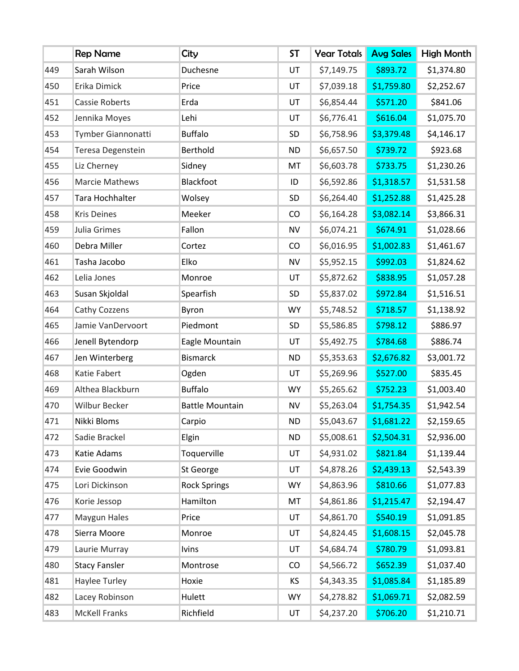|     | <b>Rep Name</b>       | City                   | <b>ST</b> | <b>Year Totals</b> | <b>Avg Sales</b> | High Month |
|-----|-----------------------|------------------------|-----------|--------------------|------------------|------------|
| 449 | Sarah Wilson          | Duchesne               | UT        | \$7,149.75         | \$893.72         | \$1,374.80 |
| 450 | Erika Dimick          | Price                  | UT        | \$7,039.18         | \$1,759.80       | \$2,252.67 |
| 451 | <b>Cassie Roberts</b> | Erda                   | UT        | \$6,854.44         | \$571.20         | \$841.06   |
| 452 | Jennika Moyes         | Lehi                   | UT        | \$6,776.41         | \$616.04         | \$1,075.70 |
| 453 | Tymber Giannonatti    | <b>Buffalo</b>         | SD        | \$6,758.96         | \$3,379.48       | \$4,146.17 |
| 454 | Teresa Degenstein     | Berthold               | <b>ND</b> | \$6,657.50         | \$739.72         | \$923.68   |
| 455 | Liz Cherney           | Sidney                 | MT        | \$6,603.78         | \$733.75         | \$1,230.26 |
| 456 | <b>Marcie Mathews</b> | Blackfoot              | ID        | \$6,592.86         | \$1,318.57       | \$1,531.58 |
| 457 | Tara Hochhalter       | Wolsey                 | SD        | \$6,264.40         | \$1,252.88       | \$1,425.28 |
| 458 | <b>Kris Deines</b>    | Meeker                 | CO        | \$6,164.28         | \$3,082.14       | \$3,866.31 |
| 459 | Julia Grimes          | Fallon                 | <b>NV</b> | \$6,074.21         | \$674.91         | \$1,028.66 |
| 460 | Debra Miller          | Cortez                 | CO        | \$6,016.95         | \$1,002.83       | \$1,461.67 |
| 461 | Tasha Jacobo          | Elko                   | <b>NV</b> | \$5,952.15         | \$992.03         | \$1,824.62 |
| 462 | Lelia Jones           | Monroe                 | UT        | \$5,872.62         | \$838.95         | \$1,057.28 |
| 463 | Susan Skjoldal        | Spearfish              | SD        | \$5,837.02         | \$972.84         | \$1,516.51 |
| 464 | Cathy Cozzens         | Byron                  | <b>WY</b> | \$5,748.52         | \$718.57         | \$1,138.92 |
| 465 | Jamie VanDervoort     | Piedmont               | SD        | \$5,586.85         | \$798.12         | \$886.97   |
| 466 | Jenell Bytendorp      | Eagle Mountain         | UT        | \$5,492.75         | \$784.68         | \$886.74   |
| 467 | Jen Winterberg        | <b>Bismarck</b>        | <b>ND</b> | \$5,353.63         | \$2,676.82       | \$3,001.72 |
| 468 | Katie Fabert          | Ogden                  | UT        | \$5,269.96         | \$527.00         | \$835.45   |
| 469 | Althea Blackburn      | <b>Buffalo</b>         | <b>WY</b> | \$5,265.62         | \$752.23         | \$1,003.40 |
| 470 | <b>Wilbur Becker</b>  | <b>Battle Mountain</b> | <b>NV</b> | \$5,263.04         | \$1,754.35       | \$1,942.54 |
| 471 | Nikki Bloms           | Carpio                 | <b>ND</b> | \$5,043.67         | \$1,681.22       | \$2,159.65 |
| 472 | Sadie Brackel         | Elgin                  | <b>ND</b> | \$5,008.61         | \$2,504.31       | \$2,936.00 |
| 473 | Katie Adams           | Toquerville            | UT        | \$4,931.02         | \$821.84         | \$1,139.44 |
| 474 | Evie Goodwin          | St George              | UT        | \$4,878.26         | \$2,439.13       | \$2,543.39 |
| 475 | Lori Dickinson        | <b>Rock Springs</b>    | <b>WY</b> | \$4,863.96         | \$810.66         | \$1,077.83 |
| 476 | Korie Jessop          | Hamilton               | MT        | \$4,861.86         | \$1,215.47       | \$2,194.47 |
| 477 | Maygun Hales          | Price                  | UT        | \$4,861.70         | \$540.19         | \$1,091.85 |
| 478 | Sierra Moore          | Monroe                 | UT        | \$4,824.45         | \$1,608.15       | \$2,045.78 |
| 479 | Laurie Murray         | <b>Ivins</b>           | UT        | \$4,684.74         | \$780.79         | \$1,093.81 |
| 480 | <b>Stacy Fansler</b>  | Montrose               | CO        | \$4,566.72         | \$652.39         | \$1,037.40 |
| 481 | Haylee Turley         | Hoxie                  | KS.       | \$4,343.35         | \$1,085.84       | \$1,185.89 |
| 482 | Lacey Robinson        | Hulett                 | <b>WY</b> | \$4,278.82         | \$1,069.71       | \$2,082.59 |
| 483 | <b>McKell Franks</b>  | Richfield              | UT        | \$4,237.20         | \$706.20         | \$1,210.71 |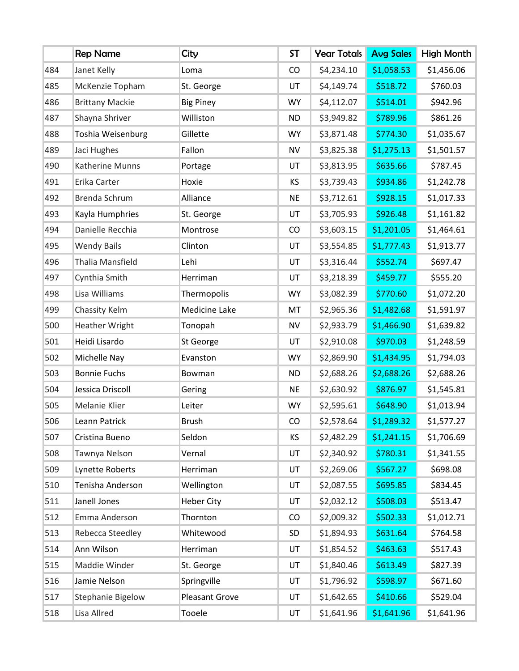|     | <b>Rep Name</b>         | City              | <b>ST</b> | <b>Year Totals</b> | <b>Avg Sales</b> | High Month |
|-----|-------------------------|-------------------|-----------|--------------------|------------------|------------|
| 484 | Janet Kelly             | Loma              | CO        | \$4,234.10         | \$1,058.53       | \$1,456.06 |
| 485 | McKenzie Topham         | St. George        | UT        | \$4,149.74         | \$518.72         | \$760.03   |
| 486 | <b>Brittany Mackie</b>  | <b>Big Piney</b>  | <b>WY</b> | \$4,112.07         | \$514.01         | \$942.96   |
| 487 | Shayna Shriver          | Williston         | <b>ND</b> | \$3,949.82         | \$789.96         | \$861.26   |
| 488 | Toshia Weisenburg       | Gillette          | <b>WY</b> | \$3,871.48         | \$774.30         | \$1,035.67 |
| 489 | Jaci Hughes             | Fallon            | <b>NV</b> | \$3,825.38         | \$1,275.13       | \$1,501.57 |
| 490 | Katherine Munns         | Portage           | UT        | \$3,813.95         | \$635.66         | \$787.45   |
| 491 | Erika Carter            | Hoxie             | KS        | \$3,739.43         | \$934.86         | \$1,242.78 |
| 492 | Brenda Schrum           | Alliance          | <b>NE</b> | \$3,712.61         | \$928.15         | \$1,017.33 |
| 493 | Kayla Humphries         | St. George        | UT        | \$3,705.93         | \$926.48         | \$1,161.82 |
| 494 | Danielle Recchia        | Montrose          | CO        | \$3,603.15         | \$1,201.05       | \$1,464.61 |
| 495 | <b>Wendy Bails</b>      | Clinton           | UT        | \$3,554.85         | \$1,777.43       | \$1,913.77 |
| 496 | <b>Thalia Mansfield</b> | Lehi              | UT        | \$3,316.44         | \$552.74         | \$697.47   |
| 497 | Cynthia Smith           | Herriman          | UT        | \$3,218.39         | \$459.77         | \$555.20   |
| 498 | Lisa Williams           | Thermopolis       | <b>WY</b> | \$3,082.39         | \$770.60         | \$1,072.20 |
| 499 | Chassity Kelm           | Medicine Lake     | MT        | \$2,965.36         | \$1,482.68       | \$1,591.97 |
| 500 | <b>Heather Wright</b>   | Tonopah           | <b>NV</b> | \$2,933.79         | \$1,466.90       | \$1,639.82 |
| 501 | Heidi Lisardo           | St George         | UT        | \$2,910.08         | \$970.03         | \$1,248.59 |
| 502 | Michelle Nay            | Evanston          | <b>WY</b> | \$2,869.90         | \$1,434.95       | \$1,794.03 |
| 503 | <b>Bonnie Fuchs</b>     | Bowman            | <b>ND</b> | \$2,688.26         | \$2,688.26       | \$2,688.26 |
| 504 | Jessica Driscoll        | Gering            | <b>NE</b> | \$2,630.92         | \$876.97         | \$1,545.81 |
| 505 | Melanie Klier           | Leiter            | <b>WY</b> | \$2,595.61         | \$648.90         | \$1,013.94 |
| 506 | Leann Patrick           | <b>Brush</b>      | CO        | \$2,578.64         | \$1,289.32       | \$1,577.27 |
| 507 | Cristina Bueno          | Seldon            | KS        | \$2,482.29         | \$1,241.15       | \$1,706.69 |
| 508 | Tawnya Nelson           | Vernal            | UT        | \$2,340.92         | \$780.31         | \$1,341.55 |
| 509 | Lynette Roberts         | Herriman          | UT        | \$2,269.06         | \$567.27         | \$698.08   |
| 510 | Tenisha Anderson        | Wellington        | UT        | \$2,087.55         | \$695.85         | \$834.45   |
| 511 | Janell Jones            | <b>Heber City</b> | UT        | \$2,032.12         | \$508.03         | \$513.47   |
| 512 | Emma Anderson           | Thornton          | CO        | \$2,009.32         | \$502.33         | \$1,012.71 |
| 513 | Rebecca Steedley        | Whitewood         | SD        | \$1,894.93         | \$631.64         | \$764.58   |
| 514 | Ann Wilson              | Herriman          | UT        | \$1,854.52         | \$463.63         | \$517.43   |
| 515 | Maddie Winder           | St. George        | UT        | \$1,840.46         | \$613.49         | \$827.39   |
| 516 | Jamie Nelson            | Springville       | UT        | \$1,796.92         | \$598.97         | \$671.60   |
| 517 | Stephanie Bigelow       | Pleasant Grove    | UT        | \$1,642.65         | \$410.66         | \$529.04   |
| 518 | Lisa Allred             | Tooele            | UT        | \$1,641.96         | \$1,641.96       | \$1,641.96 |